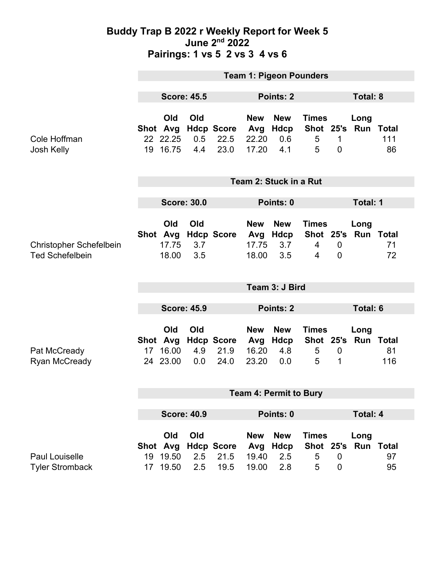#### **Buddy Trap B 2022 r Weekly Report for Week 5 June 2nd 2022 Pairings: 1 vs 5 2 vs 3 4 vs 6**

|                                                          | <b>Team 1: Pigeon Pounders</b> |                                         |                    |                                   |                                     |                                  |                                     |                                |                             |                               |  |
|----------------------------------------------------------|--------------------------------|-----------------------------------------|--------------------|-----------------------------------|-------------------------------------|----------------------------------|-------------------------------------|--------------------------------|-----------------------------|-------------------------------|--|
|                                                          | <b>Score: 45.5</b>             |                                         |                    | <b>Points: 2</b>                  |                                     |                                  |                                     | Total: 8                       |                             |                               |  |
| Cole Hoffman<br>Josh Kelly                               |                                | Old<br>Shot Avg<br>22 22.25<br>19 16.75 | Old<br>0.5<br>4.4  | <b>Hdcp Score</b><br>22.5<br>23.0 | <b>New</b><br>Avg<br>22.20<br>17.20 | <b>New</b><br>Hdcp<br>0.6<br>4.1 | <b>Times</b><br>Shot 25's<br>5<br>5 | $\mathbf{1}$<br>$\overline{0}$ | Long                        | <b>Run Total</b><br>111<br>86 |  |
|                                                          | Team 2: Stuck in a Rut         |                                         |                    |                                   |                                     |                                  |                                     |                                |                             |                               |  |
|                                                          | <b>Score: 30.0</b>             |                                         |                    |                                   | Points: 0                           |                                  |                                     |                                | Total: 1                    |                               |  |
| <b>Christopher Schefelbein</b><br><b>Ted Schefelbein</b> |                                | Old<br>Shot Avg<br>17.75<br>18.00       | Old<br>3.7<br>3.5  | <b>Hdcp Score</b>                 | <b>New</b><br>Avg<br>17.75<br>18.00 | <b>New</b><br>Hdcp<br>3.7<br>3.5 | <b>Times</b><br>$\overline{4}$<br>4 | $\overline{0}$<br>$\mathbf 0$  | Long<br>Shot 25's Run Total | 71<br>72                      |  |
|                                                          | Team 3: J Bird                 |                                         |                    |                                   |                                     |                                  |                                     |                                |                             |                               |  |
|                                                          | <b>Score: 45.9</b>             |                                         |                    |                                   | <b>Points: 2</b>                    |                                  |                                     |                                | <b>Total: 6</b>             |                               |  |
| Pat McCready<br><b>Ryan McCready</b>                     | 17                             | Old<br>Shot Avg<br>16.00<br>24 23.00    | Old<br>4.9<br>0.0  | <b>Hdcp Score</b><br>21.9<br>24.0 | <b>New</b><br>Avg<br>16.20<br>23.20 | <b>New</b><br>Hdcp<br>4.8<br>0.0 | <b>Times</b><br>Shot 25's<br>5<br>5 | $\mathbf 0$<br>1               | Long<br><b>Run Total</b>    | 81<br>116                     |  |
|                                                          | <b>Team 4: Permit to Bury</b>  |                                         |                    |                                   |                                     |                                  |                                     |                                |                             |                               |  |
|                                                          |                                |                                         |                    |                                   |                                     |                                  |                                     |                                |                             |                               |  |
|                                                          |                                |                                         |                    |                                   |                                     |                                  |                                     |                                |                             |                               |  |
|                                                          |                                |                                         | <b>Score: 40.9</b> |                                   |                                     | Points: 0                        |                                     |                                | <b>Total: 4</b>             |                               |  |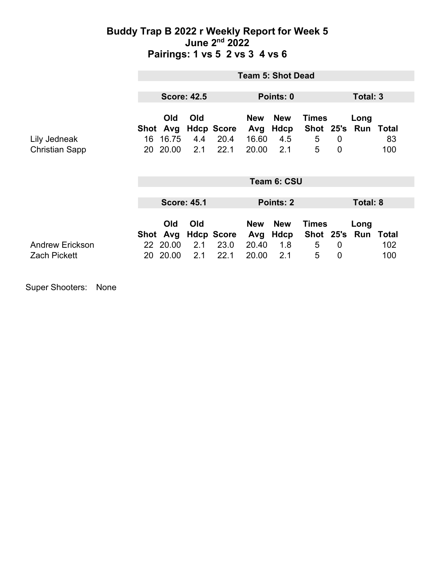### **Buddy Trap B 2022 r Weekly Report for Week 5 June 2nd 2022 Pairings: 1 vs 5 2 vs 3 4 vs 6**

|                                               | <b>Team 5: Shot Dead</b> |                                      |                   |                                   |                                     |                                  |                                     |                               |                       |                               |
|-----------------------------------------------|--------------------------|--------------------------------------|-------------------|-----------------------------------|-------------------------------------|----------------------------------|-------------------------------------|-------------------------------|-----------------------|-------------------------------|
|                                               | <b>Score: 42.5</b>       |                                      |                   | Points: 0                         |                                     |                                  |                                     | Total: 3                      |                       |                               |
| Lily Jedneak<br><b>Christian Sapp</b>         | Shot<br>16<br>20         | <b>Old</b><br>Avg<br>16.75<br>20.00  | Old<br>4.4<br>2.1 | <b>Hdcp Score</b><br>20.4<br>22.1 | <b>New</b><br>Avg<br>16.60<br>20.00 | <b>New</b><br>Hdcp<br>4.5<br>2.1 | <b>Times</b><br>Shot 25's<br>5<br>5 | $\overline{0}$<br>$\mathbf 0$ | Long                  | <b>Run Total</b><br>83<br>100 |
|                                               | Team 6: CSU              |                                      |                   |                                   |                                     |                                  |                                     |                               |                       |                               |
|                                               | <b>Score: 45.1</b>       |                                      |                   | Points: 2                         |                                     |                                  | Total: 8                            |                               |                       |                               |
| <b>Andrew Erickson</b><br><b>Zach Pickett</b> | 20                       | Old<br>Shot Avg<br>22 20.00<br>20.00 | Old<br>2.1<br>2.1 | <b>Hdcp Score</b><br>23.0<br>22.1 | <b>New</b><br>Avg<br>20.40<br>20.00 | <b>New</b><br>Hdcp<br>1.8<br>2.1 | <b>Times</b><br>5<br>5              | $\overline{0}$<br>$\mathbf 0$ | Long<br>Shot 25's Run | Total<br>102<br>100           |

Super Shooters: None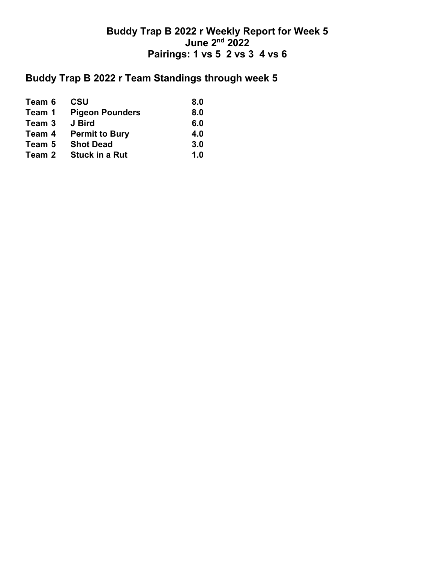## **Buddy Trap B 2022 r Weekly Report for Week 5 June 2nd 2022 Pairings: 1 vs 5 2 vs 3 4 vs 6**

# **Buddy Trap B 2022 r Team Standings through week 5**

| Team 6 | <b>CSU</b>             | 8.0 |
|--------|------------------------|-----|
| Team 1 | <b>Pigeon Pounders</b> | 8.0 |
| Team 3 | J Bird                 | 6.0 |
| Team 4 | <b>Permit to Bury</b>  | 4.0 |
| Team 5 | <b>Shot Dead</b>       | 3.0 |
| Team 2 | <b>Stuck in a Rut</b>  | 1.0 |
|        |                        |     |